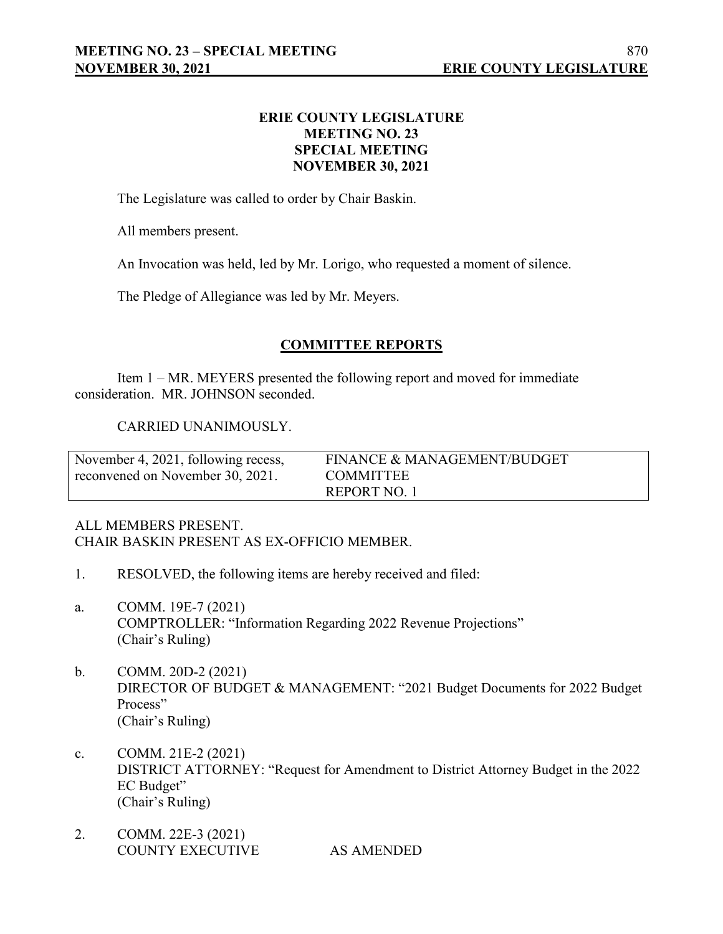## **ERIE COUNTY LEGISLATURE MEETING NO. 23 SPECIAL MEETING NOVEMBER 30, 2021**

The Legislature was called to order by Chair Baskin.

All members present.

An Invocation was held, led by Mr. Lorigo, who requested a moment of silence.

The Pledge of Allegiance was led by Mr. Meyers.

## **COMMITTEE REPORTS**

Item 1 – MR. MEYERS presented the following report and moved for immediate consideration. MR. JOHNSON seconded.

## CARRIED UNANIMOUSLY.

| November 4, 2021, following recess, | FINANCE & MANAGEMENT/BUDGET |
|-------------------------------------|-----------------------------|
| reconvened on November 30, 2021.    | <b>COMMITTEE</b>            |
|                                     | REPORT NO. 1                |

## ALL MEMBERS PRESENT. CHAIR BASKIN PRESENT AS EX-OFFICIO MEMBER.

- 1. RESOLVED, the following items are hereby received and filed:
- a. COMM. 19E-7 (2021) COMPTROLLER: "Information Regarding 2022 Revenue Projections" (Chair's Ruling)
- b. COMM. 20D-2 (2021) DIRECTOR OF BUDGET & MANAGEMENT: "2021 Budget Documents for 2022 Budget Process" (Chair's Ruling)
- c. COMM. 21E-2 (2021) DISTRICT ATTORNEY: "Request for Amendment to District Attorney Budget in the 2022 EC Budget" (Chair's Ruling)
- 2. COMM. 22E-3 (2021) COUNTY EXECUTIVE AS AMENDED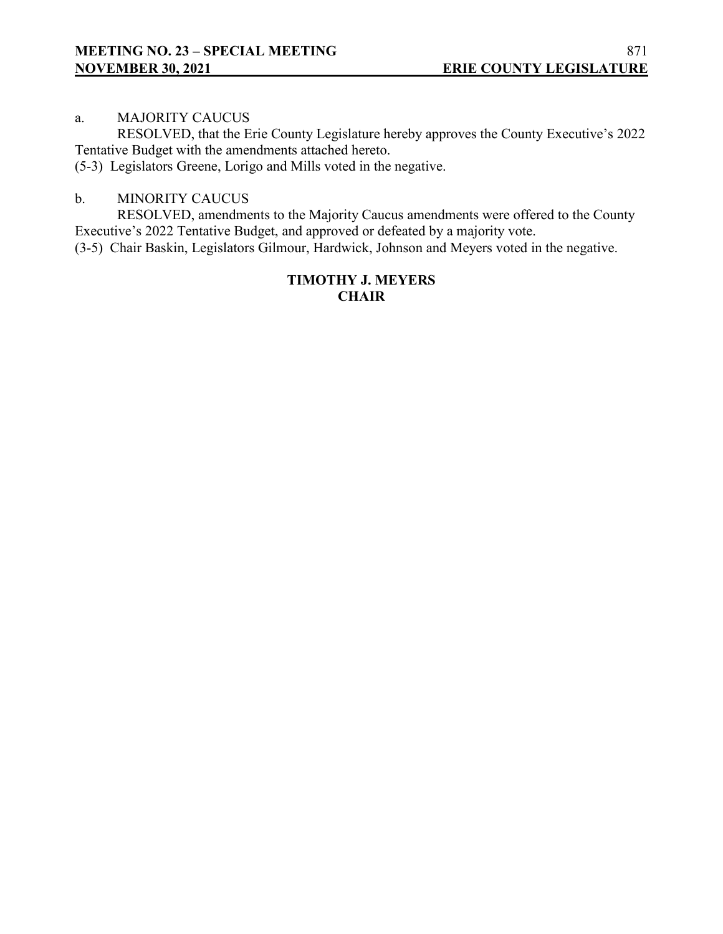## a. MAJORITY CAUCUS

RESOLVED, that the Erie County Legislature hereby approves the County Executive's 2022 Tentative Budget with the amendments attached hereto.

(5-3) Legislators Greene, Lorigo and Mills voted in the negative.

## b. MINORITY CAUCUS

RESOLVED, amendments to the Majority Caucus amendments were offered to the County Executive's 2022 Tentative Budget, and approved or defeated by a majority vote.

(3-5) Chair Baskin, Legislators Gilmour, Hardwick, Johnson and Meyers voted in the negative.

## **TIMOTHY J. MEYERS CHAIR**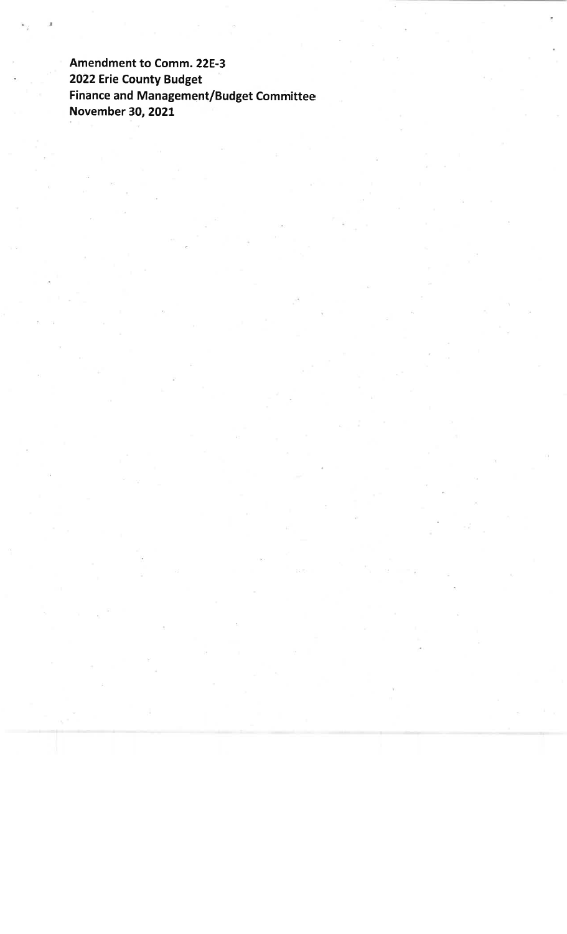Amendment to Comm. 22E-3 2022 Erie County Budget Finance and Management/Budget Committee November 30, 2021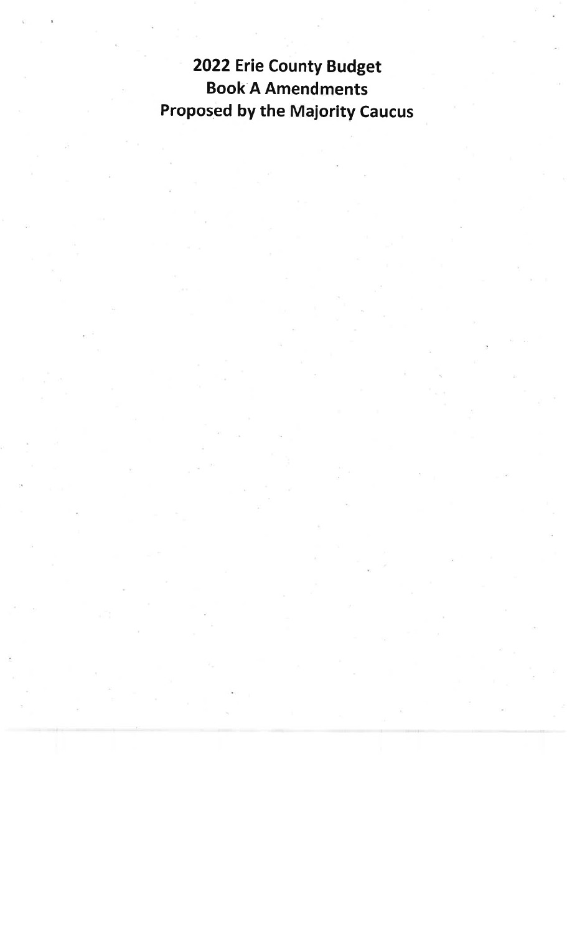2022 Erie County Budget **Book A Amendments Proposed by the Majority Caucus**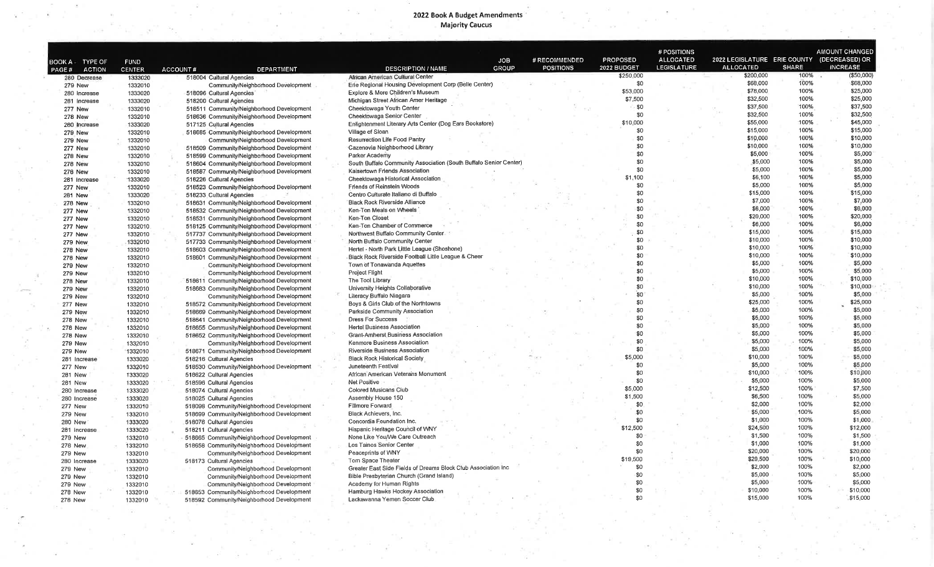# 2022 Book A Budget Amendments<br>Majority Caucus

| BOOK A TYPE OF<br><b>PAGE#</b><br><b>279 New</b><br>281 Increase<br>277 New<br><b>278 New</b><br>280 Increase<br><b>279 New</b><br><b>279 New</b><br>277 New<br><b>278 New</b><br><b>278 New</b><br><b>276 New</b><br>281 Increase<br>277 New | <b>ACTION</b><br>280 Decrease<br>280 Increase | <b>FUND</b><br><b>CENTER</b><br>1333020<br>1332010<br>1333020<br>1333020<br>1332010<br>1332010<br>1333020<br>1332010<br>1332010<br>1332010<br>1332010<br>1332010<br>1332010<br>1333020<br>1332010<br>1333020 | ACCOUNT#<br><b>DEPARTMENT</b><br>518004 Cultural Agencies<br>Community/Neighborhood Development<br>518096 Cultural Agencies<br>518200 Cultural Agencies<br>518511 Community/Neighborhood Development<br>518636 Community/Neighborhood Development<br>517125 Cultural Agencies<br>518685 Community/Neighborhood Development<br>Community/Neighborhood Development<br>518509 Community/Neighborhood Development<br>518599 Community/Neighborhood Development<br>518604 Community/Neighborhood Development<br>518587 Community/Neighborhood Development | <b>JOB</b><br><b>GROUP</b><br><b>DESCRIPTION / NAME</b><br>African American Cultural Center<br>Erie Regional Housing Development Corp (Belle Center)<br>Explore & More Children's Museum<br>Michigan Street African Amer Heritage<br>Cheektowaga Youth Center<br>Cheektowaga Senior Center<br>Enlightenment Literary Arts Center (Dog Ears Bookstore)<br>Village of Sloan<br>Resurrection Life Food Pantry<br>Cazenovia Neighborhood Library<br>Parker Academy | # RECOMMENDED<br><b>POSITIONS</b> | <b>PROPOSED</b><br>2022 BUDGET<br>\$250,000<br>\$0<br>\$53,000<br>\$7,500<br>- \$0<br>\$0<br>\$10,000<br>\$0<br>\$0<br>\$0 | <b>ALLOCATED</b><br><b>LEGISLATURE</b> | 2022 LEGISLATURE ERIE COUNTY (DECREASED) OR<br><b>ALLOCATED</b><br>\$200,000<br>\$68,000<br>\$78,000<br>\$32,500<br>\$37,500<br>\$32,500<br>\$55,000<br>\$15,000<br>\$10,000 | <b>SHARE</b><br>100%<br>100%<br>100%<br>100%<br>100%<br>100%<br>100%<br>100%<br>100% | <b>INCREASE</b><br>(\$50,000)<br>\$68,000<br>\$25,000<br>\$25,000<br>\$37,500<br>\$32,500<br>\$45,000<br>\$15,000<br>\$10,000 |
|-----------------------------------------------------------------------------------------------------------------------------------------------------------------------------------------------------------------------------------------------|-----------------------------------------------|--------------------------------------------------------------------------------------------------------------------------------------------------------------------------------------------------------------|------------------------------------------------------------------------------------------------------------------------------------------------------------------------------------------------------------------------------------------------------------------------------------------------------------------------------------------------------------------------------------------------------------------------------------------------------------------------------------------------------------------------------------------------------|----------------------------------------------------------------------------------------------------------------------------------------------------------------------------------------------------------------------------------------------------------------------------------------------------------------------------------------------------------------------------------------------------------------------------------------------------------------|-----------------------------------|----------------------------------------------------------------------------------------------------------------------------|----------------------------------------|------------------------------------------------------------------------------------------------------------------------------------------------------------------------------|--------------------------------------------------------------------------------------|-------------------------------------------------------------------------------------------------------------------------------|
|                                                                                                                                                                                                                                               |                                               |                                                                                                                                                                                                              |                                                                                                                                                                                                                                                                                                                                                                                                                                                                                                                                                      |                                                                                                                                                                                                                                                                                                                                                                                                                                                                |                                   |                                                                                                                            |                                        |                                                                                                                                                                              |                                                                                      |                                                                                                                               |
|                                                                                                                                                                                                                                               |                                               |                                                                                                                                                                                                              |                                                                                                                                                                                                                                                                                                                                                                                                                                                                                                                                                      |                                                                                                                                                                                                                                                                                                                                                                                                                                                                |                                   |                                                                                                                            |                                        |                                                                                                                                                                              |                                                                                      |                                                                                                                               |
|                                                                                                                                                                                                                                               |                                               |                                                                                                                                                                                                              |                                                                                                                                                                                                                                                                                                                                                                                                                                                                                                                                                      |                                                                                                                                                                                                                                                                                                                                                                                                                                                                |                                   |                                                                                                                            |                                        |                                                                                                                                                                              |                                                                                      |                                                                                                                               |
|                                                                                                                                                                                                                                               |                                               |                                                                                                                                                                                                              |                                                                                                                                                                                                                                                                                                                                                                                                                                                                                                                                                      |                                                                                                                                                                                                                                                                                                                                                                                                                                                                |                                   |                                                                                                                            |                                        |                                                                                                                                                                              |                                                                                      |                                                                                                                               |
|                                                                                                                                                                                                                                               |                                               |                                                                                                                                                                                                              |                                                                                                                                                                                                                                                                                                                                                                                                                                                                                                                                                      |                                                                                                                                                                                                                                                                                                                                                                                                                                                                |                                   |                                                                                                                            |                                        |                                                                                                                                                                              |                                                                                      |                                                                                                                               |
|                                                                                                                                                                                                                                               |                                               |                                                                                                                                                                                                              |                                                                                                                                                                                                                                                                                                                                                                                                                                                                                                                                                      |                                                                                                                                                                                                                                                                                                                                                                                                                                                                |                                   |                                                                                                                            |                                        |                                                                                                                                                                              |                                                                                      |                                                                                                                               |
|                                                                                                                                                                                                                                               |                                               |                                                                                                                                                                                                              |                                                                                                                                                                                                                                                                                                                                                                                                                                                                                                                                                      |                                                                                                                                                                                                                                                                                                                                                                                                                                                                |                                   |                                                                                                                            |                                        |                                                                                                                                                                              |                                                                                      |                                                                                                                               |
|                                                                                                                                                                                                                                               |                                               |                                                                                                                                                                                                              |                                                                                                                                                                                                                                                                                                                                                                                                                                                                                                                                                      |                                                                                                                                                                                                                                                                                                                                                                                                                                                                |                                   |                                                                                                                            |                                        |                                                                                                                                                                              |                                                                                      |                                                                                                                               |
|                                                                                                                                                                                                                                               |                                               |                                                                                                                                                                                                              |                                                                                                                                                                                                                                                                                                                                                                                                                                                                                                                                                      |                                                                                                                                                                                                                                                                                                                                                                                                                                                                |                                   |                                                                                                                            |                                        |                                                                                                                                                                              |                                                                                      |                                                                                                                               |
|                                                                                                                                                                                                                                               |                                               |                                                                                                                                                                                                              |                                                                                                                                                                                                                                                                                                                                                                                                                                                                                                                                                      |                                                                                                                                                                                                                                                                                                                                                                                                                                                                |                                   |                                                                                                                            |                                        |                                                                                                                                                                              |                                                                                      |                                                                                                                               |
|                                                                                                                                                                                                                                               |                                               |                                                                                                                                                                                                              |                                                                                                                                                                                                                                                                                                                                                                                                                                                                                                                                                      |                                                                                                                                                                                                                                                                                                                                                                                                                                                                |                                   |                                                                                                                            |                                        | \$10,000                                                                                                                                                                     | 100%                                                                                 | \$10,000                                                                                                                      |
|                                                                                                                                                                                                                                               |                                               |                                                                                                                                                                                                              |                                                                                                                                                                                                                                                                                                                                                                                                                                                                                                                                                      |                                                                                                                                                                                                                                                                                                                                                                                                                                                                |                                   | \$0                                                                                                                        |                                        | \$5,000                                                                                                                                                                      | 100%                                                                                 | \$5,000                                                                                                                       |
|                                                                                                                                                                                                                                               |                                               |                                                                                                                                                                                                              |                                                                                                                                                                                                                                                                                                                                                                                                                                                                                                                                                      | South Buffalo Community Association (South Buffalo Senior Center)                                                                                                                                                                                                                                                                                                                                                                                              |                                   | \$0                                                                                                                        |                                        | \$5,000                                                                                                                                                                      | 100%                                                                                 | \$5,000                                                                                                                       |
|                                                                                                                                                                                                                                               |                                               |                                                                                                                                                                                                              |                                                                                                                                                                                                                                                                                                                                                                                                                                                                                                                                                      | Kaisertown Friends Association                                                                                                                                                                                                                                                                                                                                                                                                                                 |                                   | \$0                                                                                                                        |                                        | \$5,000                                                                                                                                                                      | 100%                                                                                 | \$5,000                                                                                                                       |
|                                                                                                                                                                                                                                               |                                               |                                                                                                                                                                                                              |                                                                                                                                                                                                                                                                                                                                                                                                                                                                                                                                                      | Cheektowaga Historical Association                                                                                                                                                                                                                                                                                                                                                                                                                             |                                   | 1,100<br>\$1                                                                                                               |                                        | \$6,100                                                                                                                                                                      | 100%                                                                                 | \$5,000                                                                                                                       |
|                                                                                                                                                                                                                                               |                                               |                                                                                                                                                                                                              | 518226 Cultural Agencies                                                                                                                                                                                                                                                                                                                                                                                                                                                                                                                             | <b>Friends of Reinstein Woods</b>                                                                                                                                                                                                                                                                                                                                                                                                                              |                                   | \$0                                                                                                                        |                                        | \$5,000                                                                                                                                                                      | 100%                                                                                 | \$5,000                                                                                                                       |
|                                                                                                                                                                                                                                               |                                               |                                                                                                                                                                                                              | 518523 Community/Neighborhood Development                                                                                                                                                                                                                                                                                                                                                                                                                                                                                                            | Centro Culturale Italiano di Buffalo                                                                                                                                                                                                                                                                                                                                                                                                                           |                                   | \$0                                                                                                                        |                                        | \$15,000                                                                                                                                                                     | 100%                                                                                 | \$15,000                                                                                                                      |
| <b>281 New</b>                                                                                                                                                                                                                                |                                               |                                                                                                                                                                                                              | 518233 Cultural Agencies                                                                                                                                                                                                                                                                                                                                                                                                                                                                                                                             | <b>Black Rock Riverside Alliance</b>                                                                                                                                                                                                                                                                                                                                                                                                                           |                                   | \$0                                                                                                                        |                                        | \$7,000                                                                                                                                                                      | 100%                                                                                 | \$7,000                                                                                                                       |
| <b>278 New</b>                                                                                                                                                                                                                                |                                               | 1332010                                                                                                                                                                                                      | 518631 Community/Neighborhood Development                                                                                                                                                                                                                                                                                                                                                                                                                                                                                                            |                                                                                                                                                                                                                                                                                                                                                                                                                                                                |                                   | \$0                                                                                                                        |                                        | \$6,000                                                                                                                                                                      | 100%                                                                                 | \$6,000                                                                                                                       |
| 277 New                                                                                                                                                                                                                                       |                                               | 1332010                                                                                                                                                                                                      | 518532 Community/Neighborhood Development                                                                                                                                                                                                                                                                                                                                                                                                                                                                                                            | Ken-Ton Meals on Wheels                                                                                                                                                                                                                                                                                                                                                                                                                                        |                                   | \$0                                                                                                                        |                                        | \$20,000                                                                                                                                                                     | 100%                                                                                 | \$20,000                                                                                                                      |
| <b>277 New</b>                                                                                                                                                                                                                                |                                               | 1332010                                                                                                                                                                                                      | 518531 Community/Neighborhood Development                                                                                                                                                                                                                                                                                                                                                                                                                                                                                                            | Ken-Ton Closet                                                                                                                                                                                                                                                                                                                                                                                                                                                 |                                   | \$0                                                                                                                        |                                        | \$6,000                                                                                                                                                                      | 100%                                                                                 | \$6,000                                                                                                                       |
| 277 New                                                                                                                                                                                                                                       |                                               | 1332010                                                                                                                                                                                                      | 518125 Community/Neighborhood Development                                                                                                                                                                                                                                                                                                                                                                                                                                                                                                            | Ken-Ton Chamber of Commerce                                                                                                                                                                                                                                                                                                                                                                                                                                    |                                   | \$0                                                                                                                        |                                        | \$15,000                                                                                                                                                                     | 100%                                                                                 | \$15,000                                                                                                                      |
| 277 New                                                                                                                                                                                                                                       |                                               | 1332010                                                                                                                                                                                                      | 517737 Community/Neighborhood Development                                                                                                                                                                                                                                                                                                                                                                                                                                                                                                            | Northwest Buffalo Community Center.                                                                                                                                                                                                                                                                                                                                                                                                                            |                                   |                                                                                                                            |                                        | \$10,000                                                                                                                                                                     | 100%                                                                                 | \$10,000                                                                                                                      |
| 279 New                                                                                                                                                                                                                                       |                                               | 1332010                                                                                                                                                                                                      | 517733 Community/Neighborhood Development                                                                                                                                                                                                                                                                                                                                                                                                                                                                                                            | North Buffalo Community Center                                                                                                                                                                                                                                                                                                                                                                                                                                 |                                   | \$0                                                                                                                        |                                        |                                                                                                                                                                              |                                                                                      |                                                                                                                               |
| 278 New                                                                                                                                                                                                                                       |                                               | 1332010                                                                                                                                                                                                      | 518603 Community/Neighborhood Development                                                                                                                                                                                                                                                                                                                                                                                                                                                                                                            | Hertel - North Park Little League (Shoshone)                                                                                                                                                                                                                                                                                                                                                                                                                   |                                   | \$0                                                                                                                        |                                        | \$10,000                                                                                                                                                                     | 100%                                                                                 | \$10,000                                                                                                                      |
| 278 New                                                                                                                                                                                                                                       |                                               | 1332010                                                                                                                                                                                                      | 518601 Community/Neighborhood Development                                                                                                                                                                                                                                                                                                                                                                                                                                                                                                            | Black Rock Riverside Football Little League & Cheer                                                                                                                                                                                                                                                                                                                                                                                                            |                                   | \$0                                                                                                                        |                                        | \$10,000                                                                                                                                                                     | 100%                                                                                 | \$10,000                                                                                                                      |
| <b>279 New</b>                                                                                                                                                                                                                                |                                               | 1332010                                                                                                                                                                                                      | Community/Neighborhood Development                                                                                                                                                                                                                                                                                                                                                                                                                                                                                                                   | Town of Tonawanda Aquettes                                                                                                                                                                                                                                                                                                                                                                                                                                     |                                   | \$0                                                                                                                        |                                        | \$5,000                                                                                                                                                                      | 100%                                                                                 | \$5,000                                                                                                                       |
| 279 New                                                                                                                                                                                                                                       |                                               | 1332010                                                                                                                                                                                                      | Community/Neighborhood Development                                                                                                                                                                                                                                                                                                                                                                                                                                                                                                                   | Project Flight                                                                                                                                                                                                                                                                                                                                                                                                                                                 |                                   | \$0                                                                                                                        |                                        | \$5,000                                                                                                                                                                      | 100%                                                                                 | \$5,000                                                                                                                       |
| <b>278 New</b>                                                                                                                                                                                                                                |                                               | 1332010                                                                                                                                                                                                      | 518611 Community/Neighborhood Development                                                                                                                                                                                                                                                                                                                                                                                                                                                                                                            | The Tool Library                                                                                                                                                                                                                                                                                                                                                                                                                                               |                                   | \$0                                                                                                                        |                                        | \$10,000                                                                                                                                                                     | 100%                                                                                 | \$10,000                                                                                                                      |
| <b>279 New</b>                                                                                                                                                                                                                                |                                               | 1332010                                                                                                                                                                                                      | 518683 Community/Neighborhood Development                                                                                                                                                                                                                                                                                                                                                                                                                                                                                                            | University Heights Collaborative                                                                                                                                                                                                                                                                                                                                                                                                                               |                                   | \$0                                                                                                                        |                                        | \$10,000                                                                                                                                                                     | 100%                                                                                 | \$10,000                                                                                                                      |
| <b>279 New</b>                                                                                                                                                                                                                                |                                               | 1332010                                                                                                                                                                                                      | Community/Neighborhood Development                                                                                                                                                                                                                                                                                                                                                                                                                                                                                                                   | Literacy Buffalo Niagara                                                                                                                                                                                                                                                                                                                                                                                                                                       |                                   | \$0                                                                                                                        |                                        | \$5,000                                                                                                                                                                      | 100%                                                                                 | \$5,000                                                                                                                       |
| <b>277 New</b>                                                                                                                                                                                                                                |                                               | 1332010                                                                                                                                                                                                      | 518572 Community/Neighborhood Development                                                                                                                                                                                                                                                                                                                                                                                                                                                                                                            | Boys & Girls Club of the Northtowns                                                                                                                                                                                                                                                                                                                                                                                                                            |                                   | \$0                                                                                                                        |                                        | \$25,000                                                                                                                                                                     | 100%                                                                                 | \$25,000                                                                                                                      |
| <b>279 New</b>                                                                                                                                                                                                                                |                                               | 1332010                                                                                                                                                                                                      | 518669 Community/Neighborhood Development                                                                                                                                                                                                                                                                                                                                                                                                                                                                                                            | Parkside Community Association                                                                                                                                                                                                                                                                                                                                                                                                                                 |                                   | \$0                                                                                                                        |                                        | \$5,000                                                                                                                                                                      | 100%                                                                                 | \$5,000                                                                                                                       |
| <b>278 New</b>                                                                                                                                                                                                                                |                                               | 1332010                                                                                                                                                                                                      | 518641 Community/Neighborhood Development                                                                                                                                                                                                                                                                                                                                                                                                                                                                                                            | <b>Dress For Success</b>                                                                                                                                                                                                                                                                                                                                                                                                                                       |                                   | \$0                                                                                                                        |                                        | \$5,000                                                                                                                                                                      | 100%                                                                                 | \$5,000                                                                                                                       |
| <b>278 New</b>                                                                                                                                                                                                                                |                                               | 1332010                                                                                                                                                                                                      | 518655 Community/Neighborhood Development                                                                                                                                                                                                                                                                                                                                                                                                                                                                                                            | <b>Hertel Business Association</b>                                                                                                                                                                                                                                                                                                                                                                                                                             |                                   | \$0                                                                                                                        |                                        | \$5,000                                                                                                                                                                      | 100%                                                                                 | \$5,000                                                                                                                       |
| 278 New                                                                                                                                                                                                                                       |                                               | 1332010                                                                                                                                                                                                      | 518652 Community/Neighborhood Development                                                                                                                                                                                                                                                                                                                                                                                                                                                                                                            | <b>Grant-Amherst Business Association</b>                                                                                                                                                                                                                                                                                                                                                                                                                      |                                   | \$0                                                                                                                        |                                        | \$5,000                                                                                                                                                                      | 100%                                                                                 | \$5,000                                                                                                                       |
| <b>279 New</b>                                                                                                                                                                                                                                |                                               | 1332010                                                                                                                                                                                                      | Community/Neighborhood Development                                                                                                                                                                                                                                                                                                                                                                                                                                                                                                                   | Kenmore Business Association                                                                                                                                                                                                                                                                                                                                                                                                                                   |                                   | \$0                                                                                                                        |                                        | \$5,000                                                                                                                                                                      | 100%                                                                                 | \$5,000                                                                                                                       |
| <b>279 New</b>                                                                                                                                                                                                                                |                                               | 1332010                                                                                                                                                                                                      | 518671 Community/Neighborhood Development                                                                                                                                                                                                                                                                                                                                                                                                                                                                                                            | Riverside Business Association                                                                                                                                                                                                                                                                                                                                                                                                                                 |                                   | \$0                                                                                                                        |                                        | \$5,000                                                                                                                                                                      | 100%                                                                                 | \$5,000                                                                                                                       |
| 281 Increase                                                                                                                                                                                                                                  |                                               | 1333020                                                                                                                                                                                                      | 518216 Cultural Agencies                                                                                                                                                                                                                                                                                                                                                                                                                                                                                                                             | <b>Black Rock Historical Society</b>                                                                                                                                                                                                                                                                                                                                                                                                                           |                                   | \$5,000                                                                                                                    |                                        | \$10,000                                                                                                                                                                     | 100%                                                                                 | \$5,000                                                                                                                       |
| 277 New                                                                                                                                                                                                                                       |                                               | 1332010                                                                                                                                                                                                      | 518530 Community/Neighborhood Development                                                                                                                                                                                                                                                                                                                                                                                                                                                                                                            | Juneteenth Festival                                                                                                                                                                                                                                                                                                                                                                                                                                            |                                   | \$0                                                                                                                        |                                        | \$5,000                                                                                                                                                                      | 100%                                                                                 | \$5,000                                                                                                                       |
| 281 New                                                                                                                                                                                                                                       |                                               | 1333020                                                                                                                                                                                                      | 518622 Cultural Agencies                                                                                                                                                                                                                                                                                                                                                                                                                                                                                                                             | African American Veterans Monument                                                                                                                                                                                                                                                                                                                                                                                                                             |                                   | \$0                                                                                                                        |                                        | \$10,000                                                                                                                                                                     | 100%                                                                                 | \$10,000                                                                                                                      |
| <b>281 New</b>                                                                                                                                                                                                                                |                                               |                                                                                                                                                                                                              | 518596 Cultural Agencies                                                                                                                                                                                                                                                                                                                                                                                                                                                                                                                             | Net Positive                                                                                                                                                                                                                                                                                                                                                                                                                                                   |                                   | -\$0                                                                                                                       |                                        | \$5,000                                                                                                                                                                      | 100%                                                                                 | \$5,000                                                                                                                       |
|                                                                                                                                                                                                                                               |                                               | 1333020                                                                                                                                                                                                      |                                                                                                                                                                                                                                                                                                                                                                                                                                                                                                                                                      | <b>Colored Musicans Club</b>                                                                                                                                                                                                                                                                                                                                                                                                                                   |                                   | \$5,000                                                                                                                    |                                        | \$12,500                                                                                                                                                                     | 100%                                                                                 | \$7,500                                                                                                                       |
| 280 Increase                                                                                                                                                                                                                                  |                                               | 1333020                                                                                                                                                                                                      | 518074 Cultural Agencies                                                                                                                                                                                                                                                                                                                                                                                                                                                                                                                             | Assembly House 150                                                                                                                                                                                                                                                                                                                                                                                                                                             |                                   | \$1,500                                                                                                                    |                                        | \$6,500                                                                                                                                                                      | 100%                                                                                 | \$5,000                                                                                                                       |
| 280 Increase                                                                                                                                                                                                                                  |                                               | 1333020                                                                                                                                                                                                      | 518025 Cultural Agencies                                                                                                                                                                                                                                                                                                                                                                                                                                                                                                                             | <b>Fillmore Forward</b>                                                                                                                                                                                                                                                                                                                                                                                                                                        |                                   | \$0                                                                                                                        |                                        | \$2,000                                                                                                                                                                      | 100%                                                                                 | \$2,000                                                                                                                       |
| 277 New                                                                                                                                                                                                                                       |                                               | 1332010                                                                                                                                                                                                      | 518098 Community/Neighborhood Development                                                                                                                                                                                                                                                                                                                                                                                                                                                                                                            |                                                                                                                                                                                                                                                                                                                                                                                                                                                                |                                   | -\$0                                                                                                                       |                                        | \$5,000                                                                                                                                                                      | 100%                                                                                 | \$5,000                                                                                                                       |
| 279 New                                                                                                                                                                                                                                       |                                               | 1332010                                                                                                                                                                                                      | 518699 Community/Neighborhood Development                                                                                                                                                                                                                                                                                                                                                                                                                                                                                                            | Black Achievers, Inc.                                                                                                                                                                                                                                                                                                                                                                                                                                          |                                   | \$0                                                                                                                        |                                        | \$1,000                                                                                                                                                                      | 100%                                                                                 | \$1,000                                                                                                                       |
| 280 New                                                                                                                                                                                                                                       |                                               | 1333020                                                                                                                                                                                                      | 518078 Cultural Agencies                                                                                                                                                                                                                                                                                                                                                                                                                                                                                                                             | Concordia Foundation Inc.                                                                                                                                                                                                                                                                                                                                                                                                                                      |                                   | \$12,500                                                                                                                   |                                        | \$24,500                                                                                                                                                                     | 100%                                                                                 | \$12,000                                                                                                                      |
| 281 Increase                                                                                                                                                                                                                                  |                                               | 1333020                                                                                                                                                                                                      | 518211 Cultural Agencies                                                                                                                                                                                                                                                                                                                                                                                                                                                                                                                             | Hispanic Heritage Council of WNY                                                                                                                                                                                                                                                                                                                                                                                                                               |                                   | \$0                                                                                                                        |                                        | \$1,500                                                                                                                                                                      | 100%                                                                                 | \$1,500                                                                                                                       |
| <b>279 New</b>                                                                                                                                                                                                                                |                                               | 1332010                                                                                                                                                                                                      | 518665 Community/Neighborhood Development                                                                                                                                                                                                                                                                                                                                                                                                                                                                                                            | None Like You/We Care Outreach                                                                                                                                                                                                                                                                                                                                                                                                                                 |                                   |                                                                                                                            |                                        |                                                                                                                                                                              | 100%                                                                                 |                                                                                                                               |
| <b>278 New</b>                                                                                                                                                                                                                                |                                               | 1332010                                                                                                                                                                                                      | 518658 Community/Neighborhood Development                                                                                                                                                                                                                                                                                                                                                                                                                                                                                                            | Los Tainos Senior Center                                                                                                                                                                                                                                                                                                                                                                                                                                       |                                   | \$0                                                                                                                        |                                        | \$1,000                                                                                                                                                                      |                                                                                      | \$1,000                                                                                                                       |
| <b>279 New</b>                                                                                                                                                                                                                                |                                               | 1332010                                                                                                                                                                                                      | Community/Neighborhood Development                                                                                                                                                                                                                                                                                                                                                                                                                                                                                                                   | Peaceprints of WNY                                                                                                                                                                                                                                                                                                                                                                                                                                             |                                   | \$0                                                                                                                        |                                        | \$20,000                                                                                                                                                                     | 100%                                                                                 | \$20,000                                                                                                                      |
| 280 Increase                                                                                                                                                                                                                                  |                                               | 1333020                                                                                                                                                                                                      | 518173 Cultural Agencies                                                                                                                                                                                                                                                                                                                                                                                                                                                                                                                             | Tom Space Theater                                                                                                                                                                                                                                                                                                                                                                                                                                              |                                   | \$19,500                                                                                                                   |                                        | \$29,500                                                                                                                                                                     | 100%                                                                                 | \$10,000                                                                                                                      |
| <b>279 New</b>                                                                                                                                                                                                                                |                                               | 1332010                                                                                                                                                                                                      | Community/Neighborhood Development                                                                                                                                                                                                                                                                                                                                                                                                                                                                                                                   | Greater East Side Fields of Dreams Block Club Association Inc                                                                                                                                                                                                                                                                                                                                                                                                  |                                   | \$0                                                                                                                        |                                        | \$2,000                                                                                                                                                                      | 100%                                                                                 | \$2,000                                                                                                                       |
| 279 New                                                                                                                                                                                                                                       |                                               | 1332010                                                                                                                                                                                                      | Community/Neighborhood Development                                                                                                                                                                                                                                                                                                                                                                                                                                                                                                                   | Bible Presbyterian Church (Grand Island)                                                                                                                                                                                                                                                                                                                                                                                                                       |                                   | \$0                                                                                                                        |                                        | \$5,000                                                                                                                                                                      | 100%                                                                                 | \$5,000                                                                                                                       |
| <b>279 New</b>                                                                                                                                                                                                                                |                                               | 1332010                                                                                                                                                                                                      | Community/Neighborhood Development                                                                                                                                                                                                                                                                                                                                                                                                                                                                                                                   | Academy for Human Rights                                                                                                                                                                                                                                                                                                                                                                                                                                       |                                   | \$0                                                                                                                        |                                        | \$5,000                                                                                                                                                                      | 100%                                                                                 | \$5,000                                                                                                                       |
| 278 New                                                                                                                                                                                                                                       |                                               | 1332010                                                                                                                                                                                                      | 518653 Community/Neighborhood Development                                                                                                                                                                                                                                                                                                                                                                                                                                                                                                            | Hamburg Hawks Hockey Association                                                                                                                                                                                                                                                                                                                                                                                                                               |                                   | \$0                                                                                                                        |                                        | \$10,000                                                                                                                                                                     | 100%                                                                                 | \$10,000                                                                                                                      |
| <b>278 New</b>                                                                                                                                                                                                                                |                                               | 1332010                                                                                                                                                                                                      | 518592 Community/Neighborhood Development                                                                                                                                                                                                                                                                                                                                                                                                                                                                                                            | Lackawanna Yemen Soccer Club                                                                                                                                                                                                                                                                                                                                                                                                                                   |                                   | \$0                                                                                                                        |                                        | \$15,000                                                                                                                                                                     | 100%                                                                                 | \$15,000                                                                                                                      |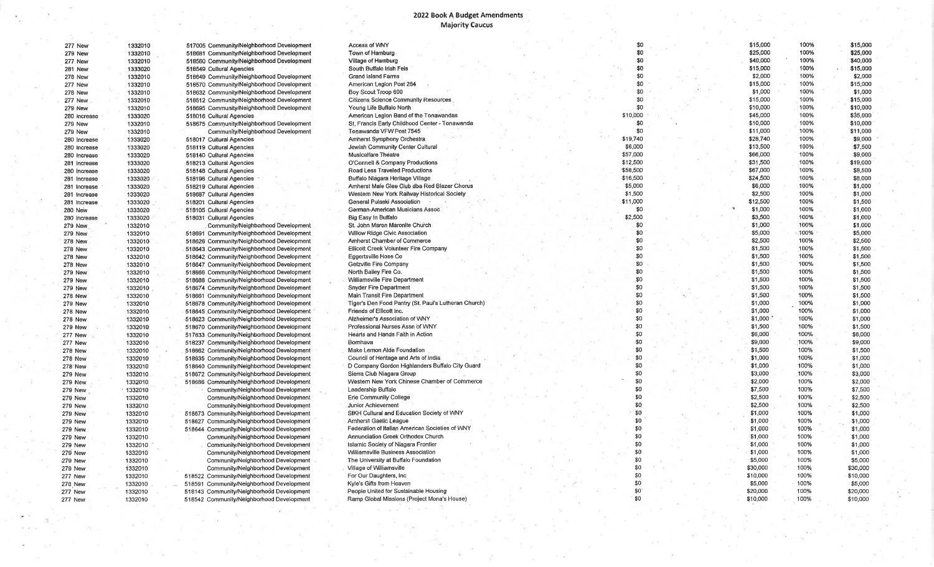## 2022 Book A Budget Amendments

| 277 New        | 1332010 | 517005 Community/Nelghborhood Development | Access of WNY                                        |  | \$0      |   | \$15,000 | 100% | \$15,000 |
|----------------|---------|-------------------------------------------|------------------------------------------------------|--|----------|---|----------|------|----------|
| 279 New        | 1332010 | 518681 Community/Neighborhood Development | Town of Hamburg                                      |  | \$0      |   | \$25,000 | 100% | \$25,000 |
| 277 New        | 1332010 | 518560 Community/Neighborhood Development | Village of Hamburg                                   |  | \$0      |   | \$40,000 | 100% | \$40,000 |
| <b>281 New</b> | 1333020 | 518549 Cultural Agencies                  | South Buffalo Irish Feis                             |  | \$0      |   | \$15,000 | 100% | \$15,000 |
| <b>278 New</b> | 1332010 | 518649 Community/Neighborhood Development | Grand Island Farms                                   |  | \$0      |   | \$2,000  | 100% | \$2,000  |
| 277 New        | 1332010 | 518570 Community/Neighborhood Development | American Legion Post 264                             |  | \$0      |   | \$15,000 | 100% | \$15,000 |
| <b>278 New</b> | 1332010 | 518632 Community/Neighborhood Development | Boy Scout Troop 600                                  |  | \$0      |   | \$1,000  | 100% | \$1,000  |
| <b>277 New</b> | 1332010 | 518512 Community/Neighborhood Development | <b>Citizens Science Community Resources</b>          |  | \$0      |   | \$15,000 | 100% | \$15,000 |
|                |         |                                           | Young Life Buffalo North                             |  | \$0      |   | \$10,000 | 100% | \$10,000 |
| <b>279 New</b> | 1332010 | 518695 Community/Neighborhood Development | American Leglon Band of the Tonawandas               |  | \$10,000 |   | \$45,000 | 100% | \$35,000 |
| 280 Increase   | 1333020 | 518016 Cultural Agencies                  | St. Francis Early Childhood Center - Tonawanda       |  | \$0      |   | \$10,000 | 100% | \$10,000 |
| 279 New        | 1332010 | 518675 Community/Neighborhood Development |                                                      |  | \$0      |   | \$11,000 | 100% |          |
| 279 New        | 1332010 | Community/Neighborhood Development        | Tonawanda VFW Post 7545                              |  |          |   |          |      | \$11,000 |
| 280 Increase   | 1333020 | 518017 Cultural Agencies                  | Amherst Symphony Orchestra                           |  | \$19,740 |   | \$28,740 | 100% | \$9,000  |
| 280 Increase   | 1333020 | 518119 Cultural Agencies                  | Jewish Community Center Cultural                     |  | \$6,000  |   | \$13,500 | 100% | \$7,500  |
| 280 Increase   | 1333020 | 518140 Cultural Agencies                  | Musicalfare Theatre                                  |  | \$57,000 |   | \$66,000 | 100% | \$9,000  |
| 281 Increase   | 1333020 | 518213 Cultural Agencies                  | O'Connell & Company Productions                      |  | \$12,500 |   | \$31,500 | 100% | \$19,000 |
| 280 Increase   | 1333020 | 518148 Cultural Agencies                  | Road Less Traveled Productions                       |  | \$58,500 |   | \$67,000 | 100% | \$8,500  |
| 281 Increase   | 1333020 | 518196 Cultural Agencies                  | Buffalo Niagara Heritage Village                     |  | \$16,500 |   | \$24,500 | 100% | \$8,000  |
| 281 Increase   | 1333020 | 518219 Cultural Agencies                  | Amherst Male Glee Club dba Red Blazer Chorus         |  | \$5,000  |   | \$6,000  | 100% | \$1,000  |
| 281 Increase   | 1333020 | 518687 Cultural Agencies                  | Western New York Railway Historical Society          |  | \$1,500  |   | \$2,500  | 100% | \$1,000  |
| 281 Increase   | 1333020 | 518201 Cultural Agencies                  | General Pulaski Association                          |  | \$11,000 |   | \$12,500 | 100% | \$1,500  |
| 280 New        | 1333020 | 518105 Cultural Agencies                  | German-American Musicians Assoc                      |  | \$0      | × | \$1,000  | 100% | \$1,000  |
| 280 Increase   | 1333020 | 518031 Cultural Agencies                  | Big Easy In Buffalo                                  |  | \$2,500  |   | \$3,500  | 100% | \$1,000  |
| 279 New        | 1332010 | Community/Neighborhood Development        | St. John Maron Maronite Church                       |  | \$0      |   | \$1,000  | 100% | \$1,000  |
| <b>279 New</b> | 1332010 | 518691 Community/Neighborhood Development | <b>Willow Ridge Civic Association</b>                |  | \$0      |   | \$5,000  | 100% | \$5,000  |
| <b>278 New</b> | 1332010 | 518626 Community/Neighborhood Development | Amherst Chamber of Commerce                          |  | \$0      |   | \$2,500  | 100% | \$2,500  |
|                |         |                                           | Ellicott Creek Volunteer Fire Company                |  | \$0      |   | \$1,500  | 100% | \$1,500  |
| <b>278 New</b> | 1332010 | 518643 Community/Neighborhood Development |                                                      |  | \$0      |   | \$1,500  | 100% |          |
| 278 New        | 1332010 | 518642 Community/Neighborhood Development | Eggertsville Hose Co                                 |  |          |   |          |      | \$1,500  |
| <b>278 New</b> | 1332010 | 518647 Community/Neighborhood Development | Getzville Fire Company                               |  | \$0      |   | \$1,500  | 100% | \$1,500  |
| <b>279 New</b> | 1332010 | 518666 Community/Neighborhood Development | North Bailey Fire Co.                                |  | \$0      |   | \$1,500  | 100% | \$1,500  |
| <b>279 New</b> | 1332010 | 518688 Community/Neighborhood Development | Williamsville Fire Department                        |  | \$0      |   | \$1,500  | 100% | \$1,500  |
| <b>279 New</b> | 1332010 | 518674 Community/Neighborhood Development | <b>Snyder Fire Department</b>                        |  | \$0      |   | \$1,500  | 100% | \$1,500  |
| <b>278 New</b> | 1332010 | 518661 Community/Neighborhood Development | Main Transit Fire Department                         |  | \$0      |   | \$1,500  | 100% | \$1,500  |
| <b>279 New</b> | 1332010 | 518678 Community/Neighborhood Development | Tiger's Den Food Pantry (St. Paul's Lutheran Church) |  | \$0      |   | \$1,000  | 100% | \$1,000  |
| <b>278 New</b> | 1332010 | 518645 Community/Neighborhood Development | Friends of Ellicott Inc.                             |  | \$0      |   | \$1,000  | 100% | \$1,000  |
| 278 New        | 1332010 | 518623 Community/Neighborhood Development | Alzheimer's Association of WNY                       |  | \$0      |   | \$1,000  | 100% | \$1,000  |
| 279 New        | 1332010 | 518670 Community/Neighborhood Development | Professional Nurses Assn of WNY                      |  | \$0      |   | \$1,500  | 100% | \$1,500  |
| 277 New        | 1332010 | 517633 Community/Neighborhood Development | Hearts and Hands Faith in Action                     |  | \$0      |   | \$6,000  | 100% | \$6,000  |
| <b>277 New</b> | 1332010 | 518237 Community/Neighborhood Development | Bomhava                                              |  | \$0      |   | \$9,000  | 100% | \$9,000  |
| 278 New        | 1332010 | 518662 Community/Neighborhood Development | Make Lemon Aide Foundation                           |  | \$0      |   | \$1,500  | 100% | \$1,500  |
| <b>278 New</b> | 1332010 | 518635 Community/Neighborhood Development | Council of Heritage and Arts of India                |  | \$0      |   | \$1,000  | 100% | \$1,000  |
| 278 New        | 1332010 | 518640 Community/Neighborhood Development | D Company Gordon Highlanders Buffalo City Guard      |  | \$0      |   | \$1,000  | 100% | \$1,000  |
| <b>279 New</b> | 1332010 | 518672 Community/Neighborhood Development | Sierra Club Niagara Group                            |  | \$0      |   | \$3,000  | 100% | \$3,000  |
| <b>279 New</b> | 1332010 | 518686 Community/Neighborhood Development | Western New York Chinese Chamber of Commerce         |  | \$0      |   | \$2.000  | 100% | \$2,000  |
| 279 New        | 1332010 | Community/Neighborhood Development        | Leadership Buffalo                                   |  | \$0      |   | \$7,500  | 100% | \$7,500  |
|                |         |                                           | Erie Community College                               |  | \$0      |   | \$2,500  | 100% | \$2,500  |
| <b>279 New</b> | 1332010 | Community/Neighborhood Development        |                                                      |  | \$0      |   | \$2,500  | 100% |          |
| <b>279 New</b> | 1332010 | Community/Neighborhood Development        | <b>Junior Achievement</b>                            |  |          |   |          |      | \$2,500  |
| <b>279 New</b> | 1332010 | 518673 Community/Neighborhood Development | SIKH Cultural and Education Society of WNY           |  | \$0      |   | \$1,000  | 100% | \$1,000  |
| <b>279 New</b> | 1332010 | 518627 Community/Neighborhood Development | Amherst Gaelic League                                |  | \$0      |   | \$1,000  | 100% | \$1,000  |
| <b>279 New</b> | 1332010 | 518644 Community/Neighborhood Development | Federation of Italian American Societies of WNY      |  | \$0      |   | \$1,000  | 100% | \$1,000  |
| 279 New        | 1332010 | Community/Neighborhood Development        | Annunciation Greek Orthodox Church                   |  | \$0      |   | \$1,000  | 100% | \$1,000  |
| 279 New        | 1332010 | Community/Neighborhood Development        | Islamic Society of Niagara Frontier                  |  | \$0      |   | \$1,000  | 100% | \$1,000  |
| 279 New        | 1332010 | Community/Neighborhood Development        | Williamsville Business Association                   |  | \$0      |   | \$1,000  | 100% | \$1,000  |
| <b>279 New</b> | 1332010 | Community/Neighborhood Development        | The University at Buffalo Foundation                 |  | \$0      |   | \$5,000  | 100% | \$5,000  |
| 279 New        | 1332010 | Community/Neighborhood Development        | Village of Williamsville                             |  | \$0      |   | \$30,000 | 100% | \$30,000 |
| 277 New        | 1332010 | 518522 Community/Neighborhood Development | For Our Daughters, Inc.                              |  | \$0      |   | \$10,000 | 100% | \$10,000 |
| 278 New        | 1332010 | 518591 Community/Neighborhood Development | Kyle's Gifts from Heaver                             |  | \$0      |   | \$5,000  | 100% | \$5,000  |
| 277 New        | 1332010 | 518143 Community/Neighborhood Development | People United for Sustainable Housing                |  | \$0      |   | \$20,000 | 100% | \$20,000 |
| 277 New        | 1332010 | 518542 Community/Neighborhood Development | Ramp Global Missions (Project Mona's House)          |  | \$0      |   | \$10,000 | 100% | \$10,000 |
|                |         |                                           |                                                      |  |          |   |          |      |          |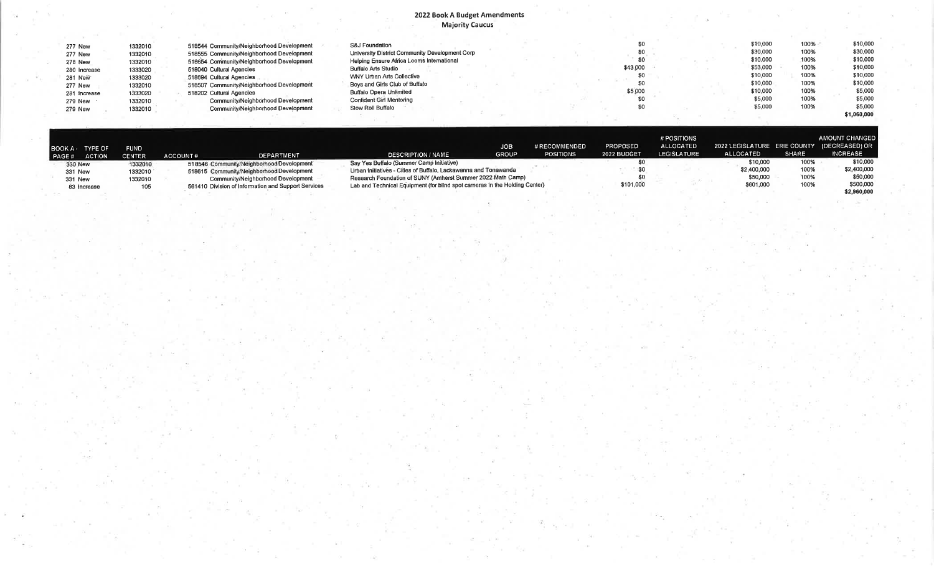#### 2022 Book A Budget Amendments **Majority Caucus**

| <b>277 New</b> | 1332010 | 518544 Community/Neighborhood Development | S&J Foundation                                 |  |          |  | \$10,000 | 100% | \$10,000    |
|----------------|---------|-------------------------------------------|------------------------------------------------|--|----------|--|----------|------|-------------|
| 277 New        | 1332010 | 518555 Community/Neighborhood Development | University District Community Development Corp |  |          |  | \$30,000 | 100% | \$30,000    |
| 278 New        | 1332010 | 518654 Community/Neighborhood Development | Helping Ensure Africa Looms International      |  |          |  | \$10,000 | 100% | \$10,000    |
| 280 Increase   | 1333020 | 518040 Cultural Agencies                  | <b>Buffalo Arts Studio</b>                     |  | \$43,000 |  | \$53,000 | 100% | \$10,000    |
| 281 New        | 1333020 | 518694 Cultural Agencies                  | <b>WNY Urban Arts Collective</b>               |  |          |  | \$10,000 | 100% | \$10,000    |
| <b>277 New</b> | 1332010 | 518507 Community/Neighborhood Development | Boys and Girls Club of Buffalo                 |  |          |  | \$10,000 | 100% | \$10,000    |
| 281 Increase   | 1333020 | 518202 Cultural Agencies                  | Buffalo Opera Unlimited                        |  | \$5,000  |  | \$10,000 | 100% | \$5,000     |
| <b>279 New</b> | 1332010 | Community/Neighborhood Development        | Confident Girl Mentoring                       |  |          |  | \$5,000  | 100% | \$5,000     |
| <b>279 New</b> | 1332010 | Community/Neighborhood Development        | Slow Roll Buffalo                              |  |          |  | \$5,000  | 100% | \$5,000     |
|                |         |                                           |                                                |  |          |  |          |      | \$1,060,000 |

| BOOK A TYPE OF<br>PAGE# | <b>ACTION</b> | <b>FUND</b><br><b>CENTER</b> | <b>ACCOUNT#</b> | DEPARTMENT                                          | <b>DESCRIPTION / NAME</b>                                                  | <b>JOB</b><br><b>GROUP</b> | # RECOMMENDED<br><b>POSITIONS</b> | <b>PROPOSED</b><br>2022 BUDGET | # POSITIONS<br><b>ALLOCATED</b><br><b>LEGISLATURE</b> | 2022 LEGISLATURE ERIE COUNTY (DECREASED) OR<br><b>ALLOCATED</b> | <b>SHARE</b> | <b>AMOUNT CHANGED</b><br><b>INCREASE</b> |
|-------------------------|---------------|------------------------------|-----------------|-----------------------------------------------------|----------------------------------------------------------------------------|----------------------------|-----------------------------------|--------------------------------|-------------------------------------------------------|-----------------------------------------------------------------|--------------|------------------------------------------|
| 330 New                 |               | 1332010                      |                 | 518546 Community/Neighborhood Development           | Say Yes Buffalo (Summer Camp Iniliative)                                   |                            |                                   |                                |                                                       | \$10,000                                                        | 100%         | \$10,000                                 |
| 331 New                 |               | 1332010                      |                 | 518615 Community/Neighborhood Development           | Urban Initiatives - Cities of Buffalo, Lackawanna and Tonawanda            |                            |                                   |                                |                                                       | \$2,400,000                                                     | 100%         | \$2,400,000                              |
| <b>331 New</b>          |               | 1332010                      |                 | Community/Neighborhood Development                  | Research Foundation of SUNY (Amherst Summer 2022 Math Camp)                |                            |                                   |                                |                                                       | \$50,000                                                        | 100%         | \$50,000                                 |
|                         | 83 Increase   | 105                          |                 | 561410 Division of Information and Support Services | Lab and Technical Equipment (for blind spot cameras in the Holding Center) |                            |                                   | \$101,000                      |                                                       | \$601,000                                                       | 100%         | \$500,000                                |
|                         |               |                              |                 |                                                     |                                                                            |                            |                                   |                                |                                                       |                                                                 |              | \$2,960,000                              |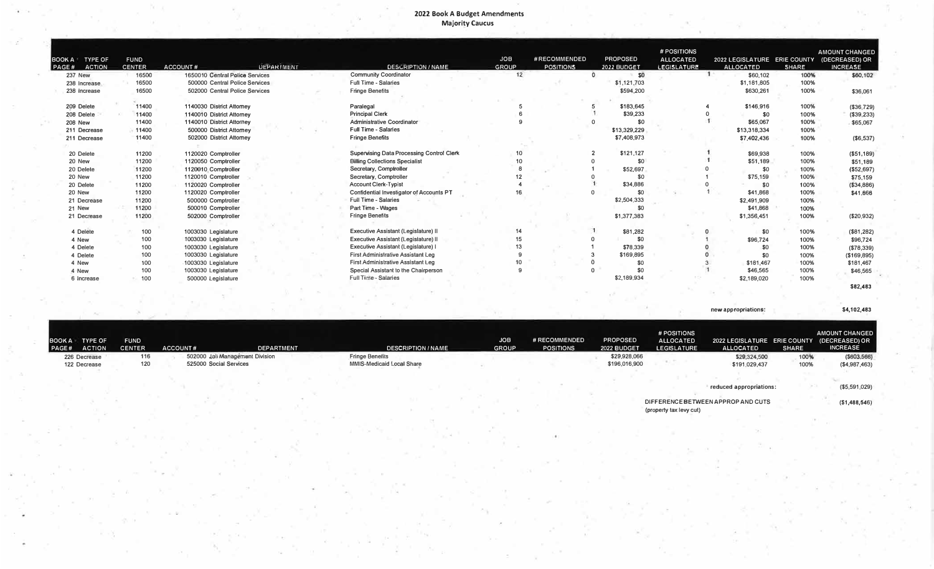#### **2022 Book A Budget Amendments Majority Caucus**

| BOOK A TYPE OF<br>PAGE#<br><b>ACTION</b> | <b>FUND</b><br><b>CENTER</b> | <b>UEPARTMENT</b><br><b>ACCOUNT#</b> | <b>DESCRIPTION / NAME</b>                        | <b>JOB</b><br><b>GROUP</b> | #RECOMMENDED<br><b>POSITIONS</b> | <b>PROPOSED</b><br>2022 BUDGET | # POSITIONS<br><b>ALLOCATED</b><br><b>LEGISLATURE</b> | 2022 LEGISLATURE ERIE COUNTY<br><b>ALLOCATED</b> | <b>SHARE</b> | <b>AMOUNT CHANGED</b><br>(DECREASED) OR<br><b>INCREASE</b> |            |
|------------------------------------------|------------------------------|--------------------------------------|--------------------------------------------------|----------------------------|----------------------------------|--------------------------------|-------------------------------------------------------|--------------------------------------------------|--------------|------------------------------------------------------------|------------|
| <b>237 New</b>                           | 16500                        | 1650010 Central Police Services      | <b>Community Coordinator</b>                     | 12                         |                                  | SO                             |                                                       | \$60,102                                         |              | 100%                                                       | \$60,102   |
| 238 Increase                             | 16500                        | 500000 Central Police Services       | <b>Full Time - Salaries</b>                      |                            |                                  | \$1,121,703                    |                                                       | \$1,181,805                                      |              | 100%                                                       |            |
| 238 Increase                             | 16500                        | 502000 Central Police Services       | <b>Fringe Benefits</b>                           |                            |                                  | \$594.200                      |                                                       | \$630,261                                        |              | 100%                                                       | \$36,061   |
|                                          |                              |                                      |                                                  |                            |                                  |                                |                                                       |                                                  |              |                                                            |            |
| 209 Delete                               | 11400                        | 1140030 District Attorney            | Paralegal                                        |                            |                                  | \$183,645                      |                                                       | \$146,916                                        |              | 100%                                                       | (\$36,729) |
| 208 Delete                               | 11400                        | 1140010 District Attorney            | <b>Principal Clerk</b>                           |                            |                                  | \$39,233                       |                                                       | \$0                                              |              | 100%                                                       | (\$39,233) |
| <b>208 New</b>                           | 11400                        | 1140010 District Attorney            | <b>Administrative Coordinator</b>                |                            |                                  | \$0                            |                                                       | \$65,067                                         |              | 100%<br>\$65,067                                           |            |
| 211 Decrease                             | 11400                        | 500000 District Attorney             | <b>Full Time - Salaries</b>                      |                            |                                  | \$13,329,229                   |                                                       | \$13,318,334                                     |              | 100%                                                       |            |
| 211 Decrease                             | 11400                        | 502000 District Attorney             | <b>Fringe Benefits</b>                           |                            |                                  | \$7,408,973                    |                                                       | \$7,402,436                                      |              | 100%                                                       | (\$6,537)  |
|                                          |                              |                                      |                                                  |                            |                                  |                                |                                                       |                                                  |              |                                                            |            |
| 20 Delete                                | 11200                        | 1120020 Comptroller                  | <b>Supervising Data Processing Control Clerk</b> | 10                         |                                  | \$121,127                      |                                                       | \$69,938                                         |              | 100%<br>(\$51,189)                                         |            |
| 20 New                                   | 11200                        | 1120050 Comptroller                  | <b>Billing Collections Specialist</b>            | 10                         |                                  | \$0                            |                                                       | \$51,189                                         |              | 100%<br>\$51,189                                           |            |
| 20 Delete                                | 11200                        | 1120010 Comptroller                  | Secretary, Comptroller                           |                            |                                  | \$52,697                       |                                                       | \$0                                              |              | (\$52,697)<br>100%                                         |            |
| 20 New                                   | 11200                        | 1120010 Comptroller                  | Secretary, Comptroller                           |                            |                                  | \$0                            |                                                       | \$75,159                                         |              | 100%<br>\$75,159                                           |            |
| 20 Delete                                | 11200                        | 1120020 Comptroller                  | <b>Account Clerk-Typist</b>                      |                            |                                  | \$34,886                       |                                                       | \$0                                              |              | 100%                                                       | (\$34,886) |
| 20 New                                   | 11200                        | 1120020 Comptroller                  | Confidential Investigator of Accounts PT         |                            |                                  | \$0                            |                                                       | \$41,868                                         |              | 100%<br>\$41.666                                           |            |
| 21 Decrease                              | 11200                        | 500000 Comptroller                   | <b>Full Time - Salaries</b>                      |                            |                                  | \$2,504,333                    |                                                       | \$2,491,909                                      |              | 100%                                                       |            |
| 21 New                                   | 11200                        | 500010 Comptroller                   | Part Time - Wages                                |                            |                                  | \$0                            |                                                       | \$41,868                                         |              | 100%                                                       |            |
| 21 Decrease                              | 11200                        | 502000 Comptroller                   | <b>Fringe Benefits</b>                           |                            |                                  | \$1,377,383                    |                                                       | \$1,356,451                                      |              | 100%<br>(\$20,932)                                         |            |
|                                          |                              |                                      |                                                  |                            |                                  |                                |                                                       |                                                  |              |                                                            |            |
| 4 Delete                                 | 100                          | 1003030 Legislature                  | Executive Assistant (Legislature) II             | 14                         |                                  | \$81,282                       |                                                       | \$0                                              |              | 100%<br>(\$81,282)                                         |            |
| 4 New                                    | 100                          | 1003030 Legislature                  | Executive Assistant (Legislature) II             | 15                         |                                  | \$0                            |                                                       | \$96,724                                         |              | 100%<br>\$96,724                                           |            |
| 4 Delete                                 | 100                          | 1003030 Legislature                  | Executive Assistant (Legislature)                | 13                         |                                  | \$78,339                       |                                                       | \$0                                              |              | 100%<br>(\$78,339)                                         |            |
| 4 Delete                                 | 100                          | 1003030 Legislature                  | First Administrative Assistant Leg               |                            |                                  | \$169,895                      |                                                       | \$0                                              |              | 100%<br>(\$169, 895)                                       |            |
| 4 New                                    | 100                          | 1003030 Legislature                  | First Administrative Assistant Leg               | 10                         |                                  | \$0                            |                                                       | \$181,467                                        |              | 100%<br>\$181,467                                          |            |
| 4 New                                    | 100                          | 1003030 Legislature                  | Special Assistant to the Chairperson             | 9                          |                                  | \$0                            |                                                       | \$46,565                                         |              | 100%<br>\$46,565                                           |            |
| 6 Increase                               | 100                          | 500000 Legislature                   | <b>Full Time - Salaries</b>                      |                            |                                  | \$2,189,934                    |                                                       | \$2,189,020                                      |              | 100%                                                       |            |
|                                          |                              |                                      |                                                  |                            |                                  |                                |                                                       |                                                  |              | \$82,483                                                   |            |

**new appropriations: \$4,102,483** 

| <b>BOOK A</b><br><b>FUND</b><br><b>TYPE OF</b><br><b>ACTION</b><br><b>CENTER</b><br><b>PAGE#</b> | <b>ACCOUNT#</b><br><b>DEPARTMENT</b>                      | <b>DESCRIPTION / NAME</b>                           | <b>JOB</b><br><b>GROUP</b> | # RECOMMENDED<br><b>POSITIONS</b> | <b>PROPOSED</b><br>2022 BUDGET | # POSITIONS<br><b>ALLOCATED</b><br><b>LEGISLATURE</b> | 2022 LEGISLATURE ERIE COUNTY (DECREASED) OR<br><b>ALLOCATED</b> | <b>SHARE</b> | AMOUNT CHANGED<br><b>INCREASE</b> |
|--------------------------------------------------------------------------------------------------|-----------------------------------------------------------|-----------------------------------------------------|----------------------------|-----------------------------------|--------------------------------|-------------------------------------------------------|-----------------------------------------------------------------|--------------|-----------------------------------|
| 226 Decrease<br>116<br>120<br>122 Decrease                                                       | 502000 Jali Management Division<br>525000 Social Services | <b>Fringe Benefits</b><br>MMIS-Medicaid Local Share |                            |                                   | \$29,928,066<br>\$196,016,900  |                                                       | \$29,324,500<br>\$191,029,437                                   | 100%<br>100% | ( \$603, 566)<br>(\$4,987,463)    |
|                                                                                                  |                                                           |                                                     |                            |                                   |                                | (property tax levy cut)                               | reduced appropriations:<br>DIFFERENCE BETWEEN APPROP AND CUTS   |              | (\$5,591,029)<br>( \$1,488,546)   |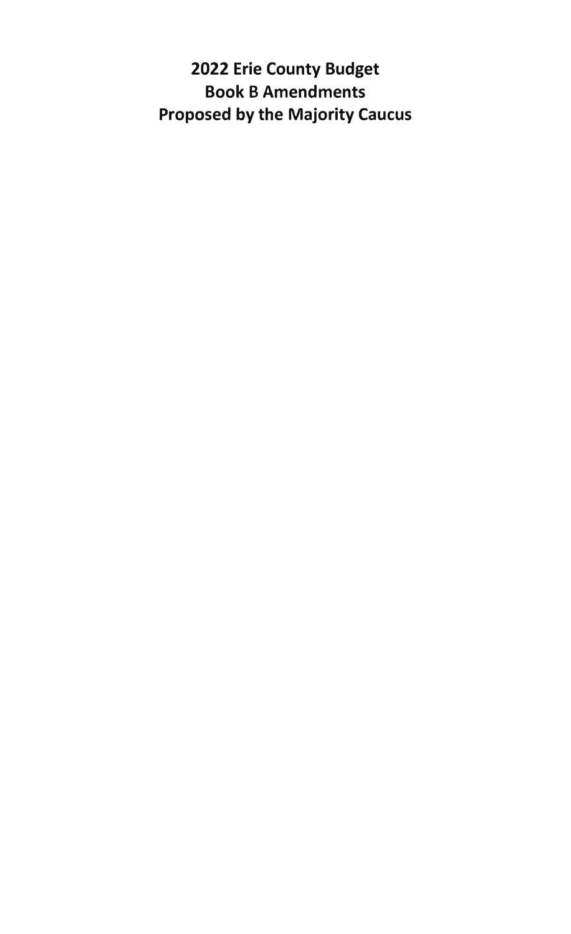**2022 Erie County Budget Book B Amendments Proposed by the Majority Caucus**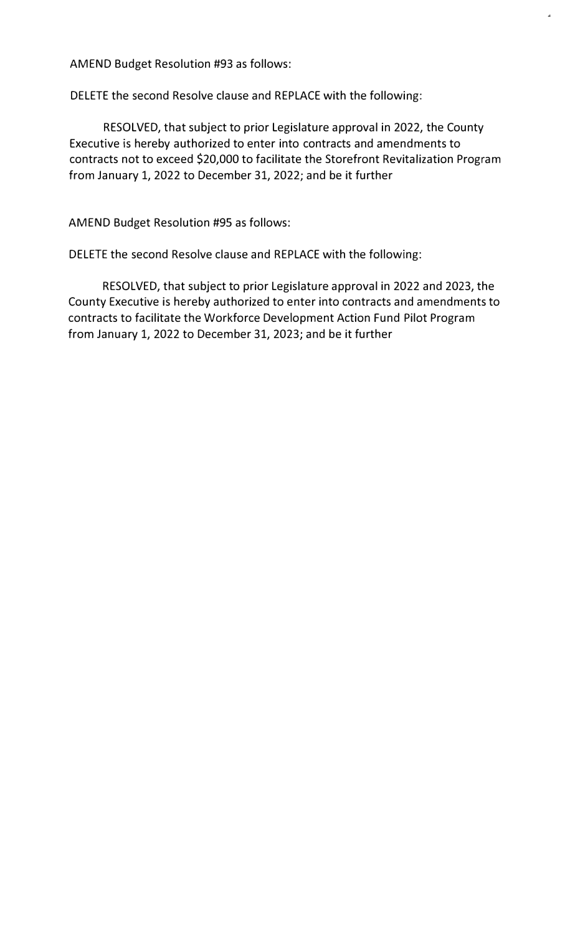AMEND Budget Resolution #93 as follows:

DELETE the second Resolve clause and REPLACE with the following:

RESOLVED, that subject to prior Legislature approval in 2022, the County Executive is hereby authorized to enter into contracts and amendments to contracts not to exceed \$20,000 to facilitate the Storefront Revitalization Program from January 1, 2022 to December 31, 2022; and be it further

..

AMEND Budget Resolution #95 as follows:

DELETE the second Resolve clause and REPLACE with the following:

RESOLVED, that subject to prior Legislature approval in 2022 and 2023, the County Executive is hereby authorized to enter into contracts and amendments to contracts to facilitate the Workforce Development Action Fund Pilot Program from January 1, 2022 to December 31, 2023; and be it further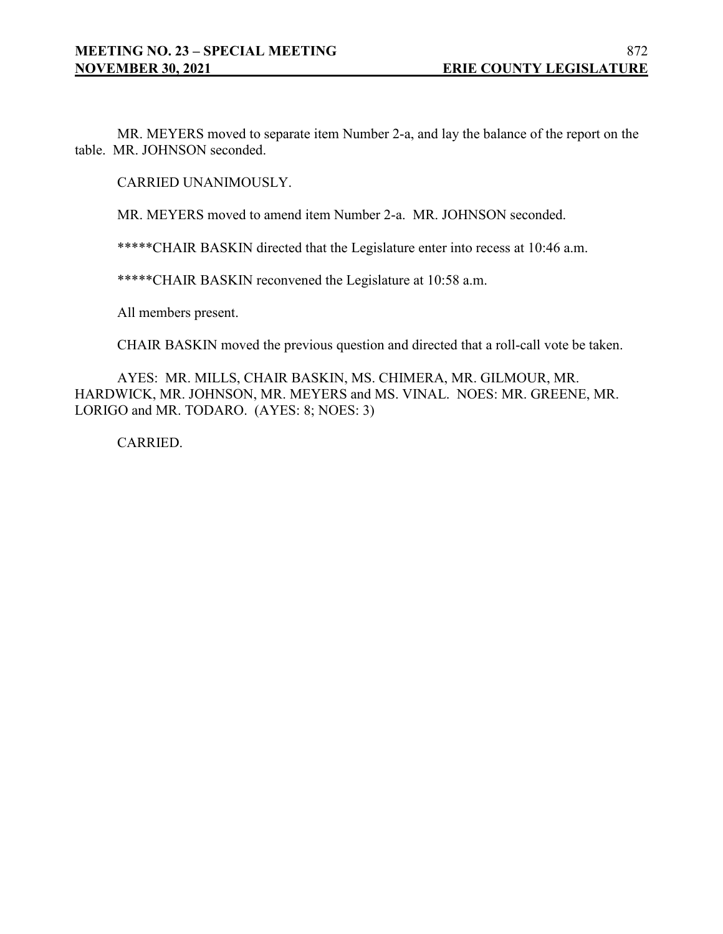MR. MEYERS moved to separate item Number 2-a, and lay the balance of the report on the table. MR. JOHNSON seconded.

CARRIED UNANIMOUSLY.

MR. MEYERS moved to amend item Number 2-a. MR. JOHNSON seconded.

\*\*\*\*\*CHAIR BASKIN directed that the Legislature enter into recess at 10:46 a.m.

\*\*\*\*\*CHAIR BASKIN reconvened the Legislature at 10:58 a.m.

All members present.

CHAIR BASKIN moved the previous question and directed that a roll-call vote be taken.

AYES: MR. MILLS, CHAIR BASKIN, MS. CHIMERA, MR. GILMOUR, MR. HARDWICK, MR. JOHNSON, MR. MEYERS and MS. VINAL. NOES: MR. GREENE, MR. LORIGO and MR. TODARO. (AYES: 8; NOES: 3)

CARRIED.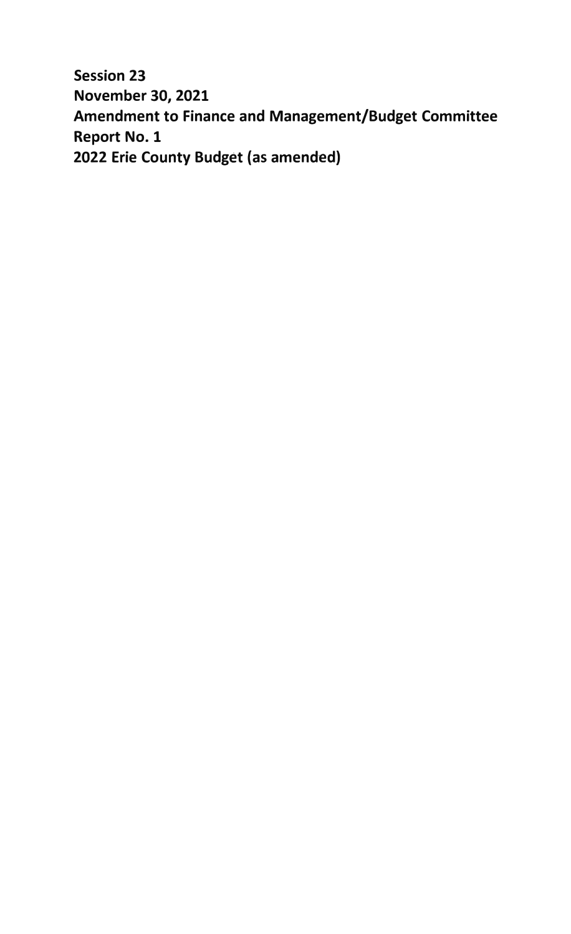**Session 23 November 30, 2021 Amendment to Finance and Management/Budget Committee Report No. 1 2022 Erie County Budget (as amended)**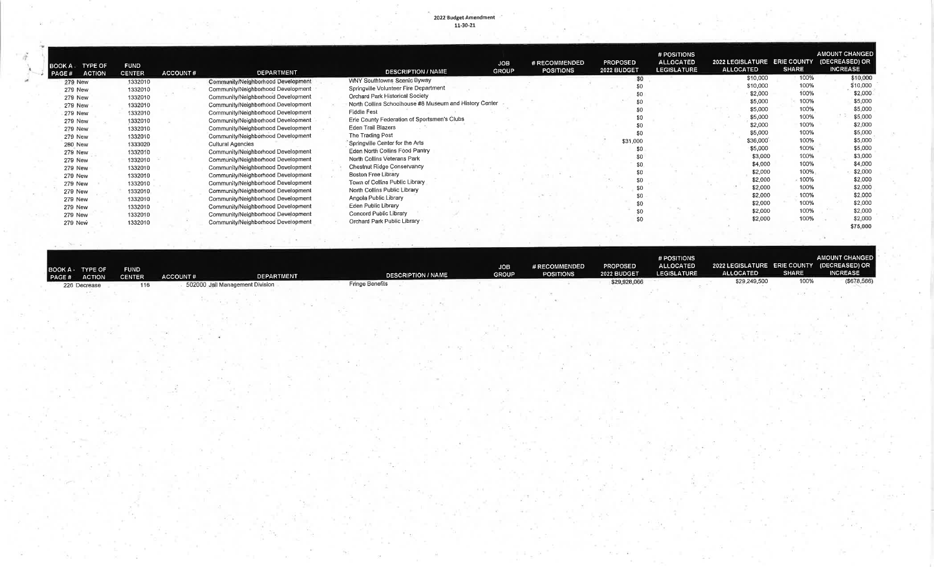## 2022 Budget Amendment<br>11-30-21

| BOOK A                  | <b>TYPE OF</b><br><b>ACTION</b> | <b>FUND</b><br><b>CENTER</b> | <b>ACCOUNT#</b> | <b>DEPARTMENT</b>                  | <b>DESCRIPTION / NAME</b>                              | <b>JOB</b><br><b>GROUP</b> | # RECOMMENDED<br><b>POSITIONS</b> | <b>PROPOSED</b><br>2022 BUDGET | # POSITIONS<br><b>ALLOCATED</b><br><b>LEGISLATURE</b> | 2022 LEGISLATURE ERIE COUNTY<br><b>ALLOCATED</b> | <b>SHARE</b> | <b>AMOUNT CHANGED</b><br>(DECREASED) OR<br><b>INCREASE</b> |          |
|-------------------------|---------------------------------|------------------------------|-----------------|------------------------------------|--------------------------------------------------------|----------------------------|-----------------------------------|--------------------------------|-------------------------------------------------------|--------------------------------------------------|--------------|------------------------------------------------------------|----------|
| PAGE#<br><b>279 New</b> |                                 | 1332010                      |                 | Community/Neighborhood Development | <b>WNY Southtowns Scenic Byway</b>                     |                            |                                   | \$0                            |                                                       | \$10,000                                         | 100%         |                                                            | \$10,000 |
| <b>279 New</b>          |                                 | 1332010                      |                 | Community/Neighborhood Development | Springville Volunteer Fire Department                  |                            |                                   |                                |                                                       | \$10,000                                         | 100%         |                                                            | \$10,000 |
| <b>279 New</b>          |                                 | 1332010                      |                 | Community/Neighborhood Development | Orchard Park Historical Society                        |                            |                                   |                                |                                                       | \$2,000                                          | 100%         |                                                            | \$2,000  |
|                         |                                 | 1332010                      |                 | Community/Neighborhood Development | North Collins Schoolhouse #8 Museum and History Center |                            |                                   |                                |                                                       | \$5,000                                          | 100%         |                                                            | \$5,000  |
| <b>279 New</b>          |                                 | 1332010                      |                 | Community/Neighborhood Development | Fiddle Fest                                            |                            |                                   |                                |                                                       | \$5,000                                          | 100%         |                                                            | \$5,000  |
| 279 New                 |                                 |                              |                 | Community/Neighborhood Development | Erie County Federation of Sportsmen's Clubs            |                            |                                   | \$0                            |                                                       | \$5,000                                          | 100%         |                                                            | \$5,000  |
| <b>279 New</b>          |                                 | 1332010                      |                 |                                    | Eden Trail Blazers                                     |                            |                                   |                                |                                                       | \$2,000                                          | 100%         |                                                            | \$2,000  |
| <b>279 New</b>          |                                 | 1332010                      |                 | Community/Neighborhood Development | The Trading Post                                       |                            |                                   |                                |                                                       | \$5,000                                          | 100%         |                                                            | \$5,000  |
| <b>279 New</b>          |                                 | 1332010                      |                 | Community/Neighborhood Development | Springville Center for the Arts                        |                            |                                   | \$31,000                       |                                                       | \$36,000                                         | 100%         |                                                            | \$5,000  |
| <b>280 New</b>          |                                 | 1333020                      |                 | <b>Cultural Agencies</b>           | Eden North Collins Food Pantry                         |                            |                                   | \$0                            |                                                       | \$5,000                                          | 100%         |                                                            | \$5,000  |
| 279 New                 |                                 | 1332010                      |                 | Community/Neighborhood Development |                                                        |                            |                                   | \$0                            |                                                       | \$3,000                                          | 100%         |                                                            | \$3,000  |
| 279 New                 |                                 | 1332010                      |                 | Community/Neighborhood Development | North Collins Veterans Park                            |                            |                                   | \$0                            |                                                       | \$4,000                                          | 100%         |                                                            | \$4,000  |
| <b>279 New</b>          |                                 | 1332010                      |                 | Community/Neighborhood Development | Chestnut Ridge Conservancy                             |                            |                                   | \$C                            |                                                       | \$2,000                                          | 100%         |                                                            | \$2,000  |
| <b>279 New</b>          |                                 | 1332010                      |                 | Community/Neighborhood Development | Boston Free Library                                    |                            |                                   | \$C                            |                                                       | \$2,000                                          | 100%         |                                                            | \$2,000  |
| <b>279 New</b>          |                                 | 1332010                      |                 | Community/Neighborhood Development | Town of Collins Public Library                         |                            |                                   |                                |                                                       | \$2,000                                          | 100%         |                                                            | \$2,000  |
| 279 New                 |                                 | 1332010                      |                 | Community/Neighborhood Development | North Collins Public Library                           |                            |                                   |                                |                                                       | \$2,000                                          | 100%         |                                                            | \$2,000  |
| <b>279 New</b>          |                                 | 1332010                      |                 | Community/Neighborhood Development | Angola Public Library                                  |                            |                                   |                                |                                                       | \$2,000                                          | 100%         |                                                            | \$2,000  |
| <b>279 New</b>          |                                 | 1332010                      |                 | Community/Neighborhood Development | Eden Public Library                                    |                            |                                   |                                |                                                       | \$2,000                                          | 100%         |                                                            | \$2,000  |
| 279 New                 |                                 | 1332010                      |                 | Community/Neighborhood Development | Concord Public Library                                 |                            |                                   | \$0                            |                                                       | \$2,000                                          | 100%         |                                                            | \$2,000  |
| 279 New                 |                                 | 1332010                      |                 | Community/Neighborhood Development | Orchard Park Public Library                            |                            |                                   |                                |                                                       |                                                  |              |                                                            | \$75,000 |
|                         |                                 |                              |                 |                                    |                                                        |                            |                                   |                                |                                                       |                                                  |              |                                                            |          |

| <b>PAGE #</b> | BOOK A TYPE OF<br>ACTION | <b>FUND</b><br>CENTER | <b>ACCOUNT #</b> | <b>DEPARTMENT</b>               | <b>DESCRIPTION / NAME</b> | <b>JOB</b><br><b>GROUP</b> | # RECOMMENDED<br><b>POSITIONS</b> | <b>PROPOSED</b><br>2022 BUDGET | # POSITIONS<br><b>ALLOCATED</b><br><b>LEGISLATURE</b> | 2022 LEGISLATURE ERIE COUNTY (DECREASED) OR<br><b>ALLOCATED</b> | <b>SHARE</b> | <b>AMOUNT CHANGEI</b><br><b>INCREASE</b> |
|---------------|--------------------------|-----------------------|------------------|---------------------------------|---------------------------|----------------------------|-----------------------------------|--------------------------------|-------------------------------------------------------|-----------------------------------------------------------------|--------------|------------------------------------------|
|               | 226 Decrease             |                       |                  | 502000 Jail Management Division | <b>Fringe Benefits</b>    |                            |                                   | \$29,928,066                   |                                                       | \$29,249,500                                                    | 100%         | (\$678,566                               |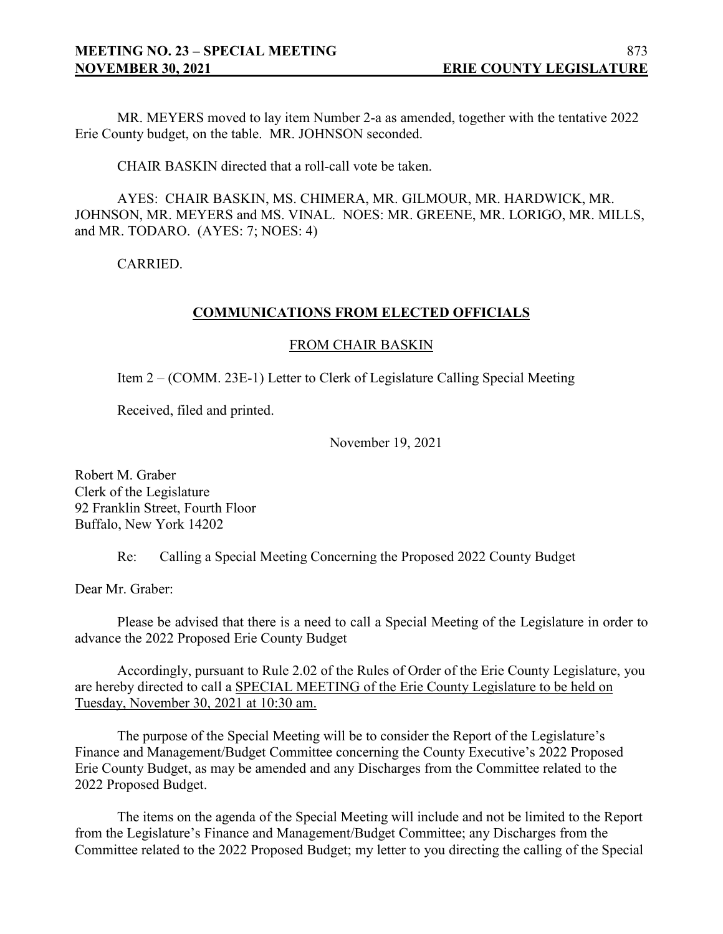MR. MEYERS moved to lay item Number 2-a as amended, together with the tentative 2022 Erie County budget, on the table. MR. JOHNSON seconded.

CHAIR BASKIN directed that a roll-call vote be taken.

AYES: CHAIR BASKIN, MS. CHIMERA, MR. GILMOUR, MR. HARDWICK, MR. JOHNSON, MR. MEYERS and MS. VINAL. NOES: MR. GREENE, MR. LORIGO, MR. MILLS, and MR. TODARO. (AYES: 7; NOES: 4)

CARRIED.

### **COMMUNICATIONS FROM ELECTED OFFICIALS**

### FROM CHAIR BASKIN

Item 2 – (COMM. 23E-1) Letter to Clerk of Legislature Calling Special Meeting

Received, filed and printed.

November 19, 2021

Robert M. Graber Clerk of the Legislature 92 Franklin Street, Fourth Floor Buffalo, New York 14202

Re: Calling a Special Meeting Concerning the Proposed 2022 County Budget

Dear Mr. Graber:

Please be advised that there is a need to call a Special Meeting of the Legislature in order to advance the 2022 Proposed Erie County Budget

Accordingly, pursuant to Rule 2.02 of the Rules of Order of the Erie County Legislature, you are hereby directed to call a SPECIAL MEETING of the Erie County Legislature to be held on Tuesday, November 30, 2021 at 10:30 am.

The purpose of the Special Meeting will be to consider the Report of the Legislature's Finance and Management/Budget Committee concerning the County Executive's 2022 Proposed Erie County Budget, as may be amended and any Discharges from the Committee related to the 2022 Proposed Budget.

The items on the agenda of the Special Meeting will include and not be limited to the Report from the Legislature's Finance and Management/Budget Committee; any Discharges from the Committee related to the 2022 Proposed Budget; my letter to you directing the calling of the Special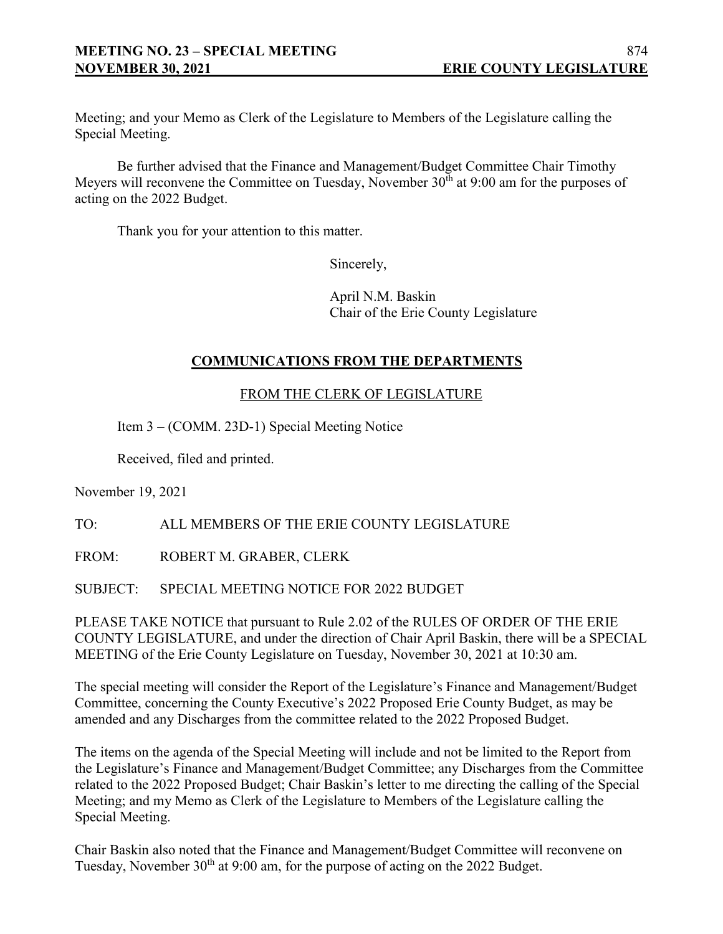Meeting; and your Memo as Clerk of the Legislature to Members of the Legislature calling the Special Meeting.

Be further advised that the Finance and Management/Budget Committee Chair Timothy Meyers will reconvene the Committee on Tuesday, November  $30<sup>th</sup>$  at 9:00 am for the purposes of acting on the 2022 Budget.

Thank you for your attention to this matter.

Sincerely,

April N.M. Baskin Chair of the Erie County Legislature

## **COMMUNICATIONS FROM THE DEPARTMENTS**

FROM THE CLERK OF LEGISLATURE

Item 3 – (COMM. 23D-1) Special Meeting Notice

Received, filed and printed.

November 19, 2021

TO: ALL MEMBERS OF THE ERIE COUNTY LEGISLATURE

FROM: ROBERT M. GRABER, CLERK

SUBJECT: SPECIAL MEETING NOTICE FOR 2022 BUDGET

PLEASE TAKE NOTICE that pursuant to Rule 2.02 of the RULES OF ORDER OF THE ERIE COUNTY LEGISLATURE, and under the direction of Chair April Baskin, there will be a SPECIAL MEETING of the Erie County Legislature on Tuesday, November 30, 2021 at 10:30 am.

The special meeting will consider the Report of the Legislature's Finance and Management/Budget Committee, concerning the County Executive's 2022 Proposed Erie County Budget, as may be amended and any Discharges from the committee related to the 2022 Proposed Budget.

The items on the agenda of the Special Meeting will include and not be limited to the Report from the Legislature's Finance and Management/Budget Committee; any Discharges from the Committee related to the 2022 Proposed Budget; Chair Baskin's letter to me directing the calling of the Special Meeting; and my Memo as Clerk of the Legislature to Members of the Legislature calling the Special Meeting.

Chair Baskin also noted that the Finance and Management/Budget Committee will reconvene on Tuesday, November 30<sup>th</sup> at 9:00 am, for the purpose of acting on the 2022 Budget.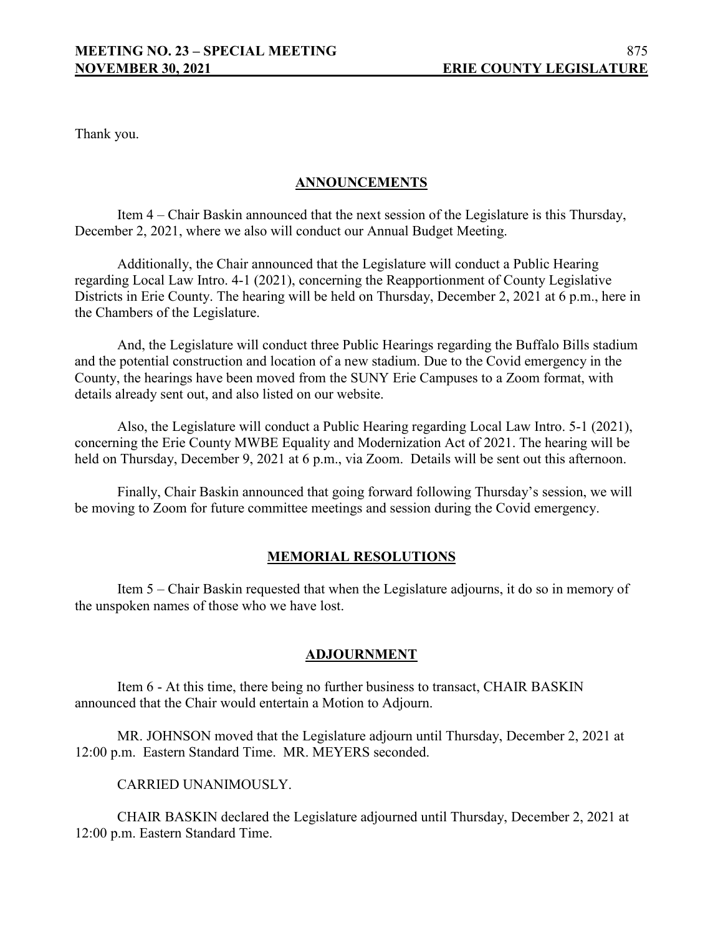Thank you.

## **ANNOUNCEMENTS**

Item 4 – Chair Baskin announced that the next session of the Legislature is this Thursday, December 2, 2021, where we also will conduct our Annual Budget Meeting.

Additionally, the Chair announced that the Legislature will conduct a Public Hearing regarding Local Law Intro. 4-1 (2021), concerning the Reapportionment of County Legislative Districts in Erie County. The hearing will be held on Thursday, December 2, 2021 at 6 p.m., here in the Chambers of the Legislature.

And, the Legislature will conduct three Public Hearings regarding the Buffalo Bills stadium and the potential construction and location of a new stadium. Due to the Covid emergency in the County, the hearings have been moved from the SUNY Erie Campuses to a Zoom format, with details already sent out, and also listed on our website.

Also, the Legislature will conduct a Public Hearing regarding Local Law Intro. 5-1 (2021), concerning the Erie County MWBE Equality and Modernization Act of 2021. The hearing will be held on Thursday, December 9, 2021 at 6 p.m., via Zoom. Details will be sent out this afternoon.

Finally, Chair Baskin announced that going forward following Thursday's session, we will be moving to Zoom for future committee meetings and session during the Covid emergency.

## **MEMORIAL RESOLUTIONS**

Item 5 – Chair Baskin requested that when the Legislature adjourns, it do so in memory of the unspoken names of those who we have lost.

## **ADJOURNMENT**

Item 6 - At this time, there being no further business to transact, CHAIR BASKIN announced that the Chair would entertain a Motion to Adjourn.

MR. JOHNSON moved that the Legislature adjourn until Thursday, December 2, 2021 at 12:00 p.m. Eastern Standard Time. MR. MEYERS seconded.

CARRIED UNANIMOUSLY.

CHAIR BASKIN declared the Legislature adjourned until Thursday, December 2, 2021 at 12:00 p.m. Eastern Standard Time.